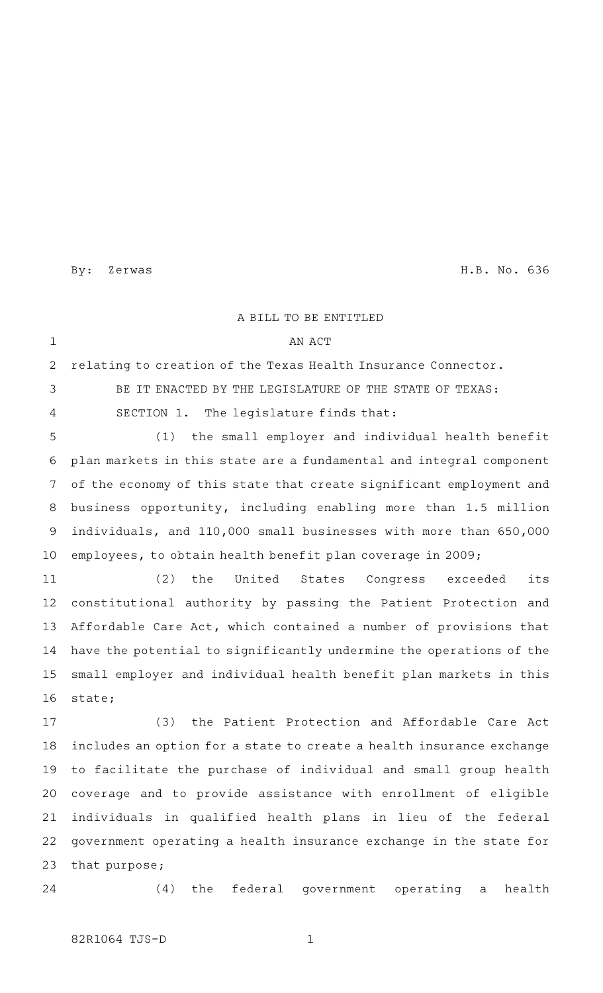By: Zerwas H.B. No. 636

A BILL TO BE ENTITLED AN ACT relating to creation of the Texas Health Insurance Connector. BE IT ENACTED BY THE LEGISLATURE OF THE STATE OF TEXAS: SECTION 1. The legislature finds that: (1) the small employer and individual health benefit plan markets in this state are a fundamental and integral component of the economy of this state that create significant employment and business opportunity, including enabling more than 1.5 million individuals, and 110,000 small businesses with more than 650,000 employees, to obtain health benefit plan coverage in 2009; (2) the United States Congress exceeded its constitutional authority by passing the Patient Protection and Affordable Care Act, which contained a number of provisions that have the potential to significantly undermine the operations of the small employer and individual health benefit plan markets in this state; (3) the Patient Protection and Affordable Care Act includes an option for a state to create a health insurance exchange to facilitate the purchase of individual and small group health coverage and to provide assistance with enrollment of eligible individuals in qualified health plans in lieu of the federal government operating a health insurance exchange in the state for that purpose; (4) the federal government operating a health 1 2 3 4 5 6 7 8 9 10 11 12 13 14 15 16 17 18 19 20 21 22 23 24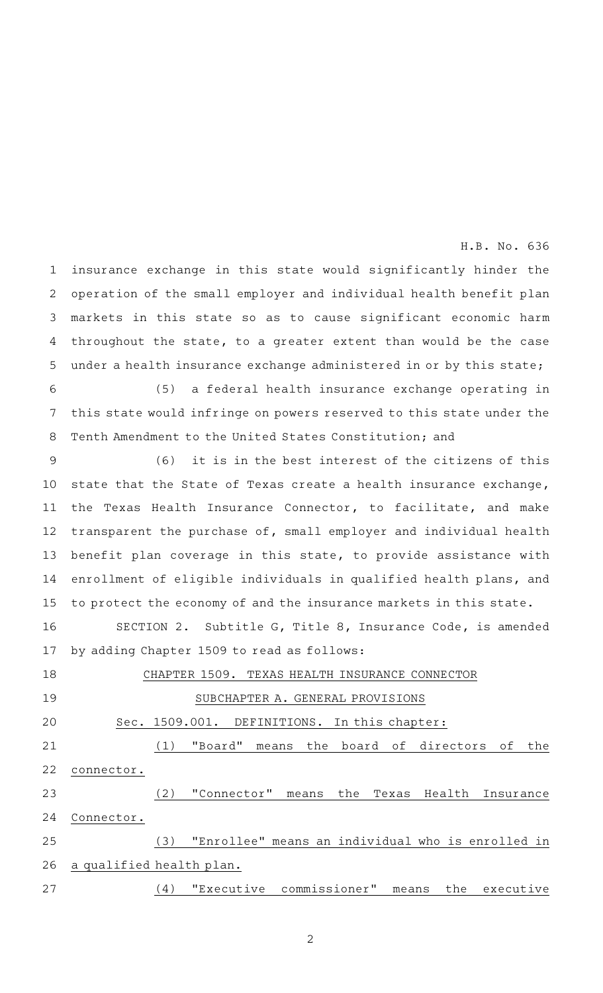insurance exchange in this state would significantly hinder the operation of the small employer and individual health benefit plan markets in this state so as to cause significant economic harm throughout the state, to a greater extent than would be the case under a health insurance exchange administered in or by this state; 1 2 3 4 5

(5) a federal health insurance exchange operating in this state would infringe on powers reserved to this state under the Tenth Amendment to the United States Constitution; and 6 7 8

 $(6)$  it is in the best interest of the citizens of this state that the State of Texas create a health insurance exchange, the Texas Health Insurance Connector, to facilitate, and make transparent the purchase of, small employer and individual health benefit plan coverage in this state, to provide assistance with enrollment of eligible individuals in qualified health plans, and to protect the economy of and the insurance markets in this state. 9 10 11 12 13 14 15

SECTION 2. Subtitle G, Title 8, Insurance Code, is amended by adding Chapter 1509 to read as follows: 16 17

CHAPTER 1509. TEXAS HEALTH INSURANCE CONNECTOR SUBCHAPTER A. GENERAL PROVISIONS Sec. 1509.001. DEFINITIONS. In this chapter: (1) "Board" means the board of directors of the connector. (2) "Connector" means the Texas Health Insurance Connector. (3) "Enrollee" means an individual who is enrolled in a qualified health plan. (4) "Executive commissioner" means the executive 18 19 20 21 22 23 24 25 26 27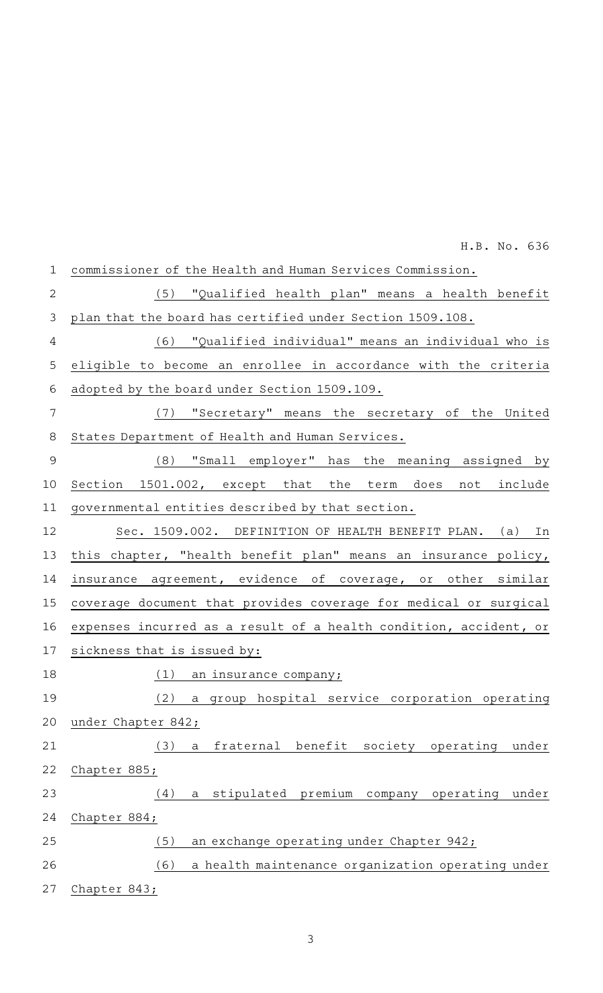| $\mathbf 1$    | commissioner of the Health and Human Services Commission.          |
|----------------|--------------------------------------------------------------------|
| $\overline{2}$ | (5) "Qualified health plan" means a health benefit                 |
| 3              | plan that the board has certified under Section 1509.108.          |
| 4              | (6) "Qualified individual" means an individual who is              |
| 5              | eligible to become an enrollee in accordance with the criteria     |
| 6              | adopted by the board under Section 1509.109.                       |
| 7              | (7) "Secretary" means the secretary of the United                  |
| 8              | States Department of Health and Human Services.                    |
| $\mathcal{G}$  | (8) "Small employer" has the meaning assigned by                   |
| 10             | Section 1501.002, except that the term does not include            |
| 11             | governmental entities described by that section.                   |
| 12             | Sec. 1509.002. DEFINITION OF HEALTH BENEFIT PLAN. (a) In           |
| 13             | this chapter, "health benefit plan" means an insurance policy,     |
| 14             | insurance agreement, evidence of coverage, or other similar        |
| 15             | coverage document that provides coverage for medical or surgical   |
| 16             | expenses incurred as a result of a health condition, accident, or  |
| 17             | sickness that is issued by:                                        |
| 18             | (1)<br>an insurance company;                                       |
| 19             | (2) a group hospital service corporation operating                 |
| 20             | under Chapter 842;                                                 |
| 21             | fraternal benefit society operating<br>(3)<br>under<br>$\mathsf a$ |
| 22             | Chapter 885;                                                       |
| 23             | (4)<br>a stipulated premium company operating<br>under             |
| 24             | Chapter 884;                                                       |
| 25             | (5)<br>an exchange operating under Chapter 942;                    |
| 26             | (6)<br>a health maintenance organization operating under           |
| 27             | Chapter 843;                                                       |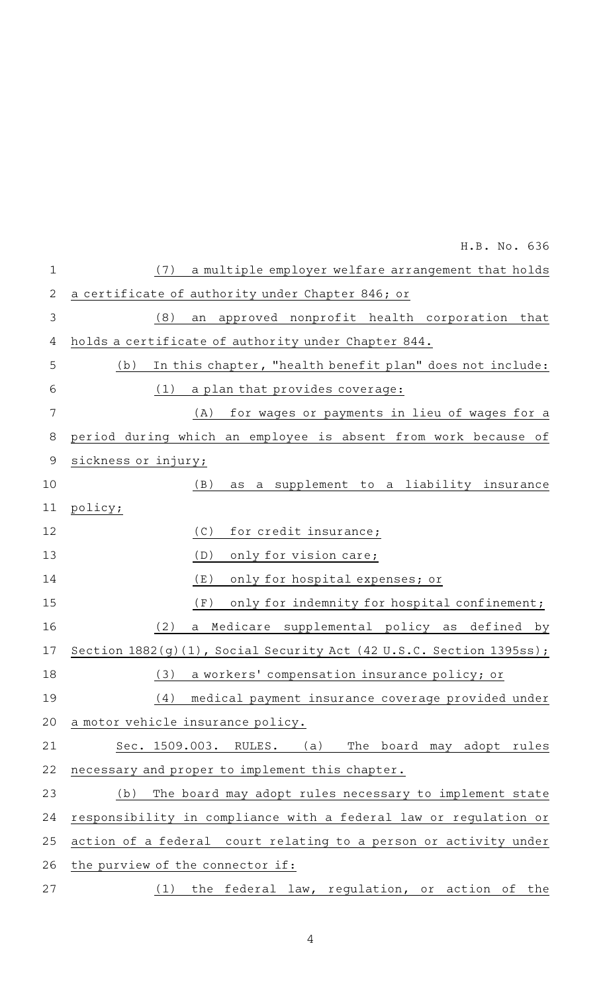|              | H.B. No. 636                                                        |
|--------------|---------------------------------------------------------------------|
| $\mathbf 1$  | a multiple employer welfare arrangement that holds<br>(7)           |
| $\mathbf{2}$ | a certificate of authority under Chapter 846; or                    |
| 3            | (8)<br>approved nonprofit health corporation that<br>an             |
| 4            | holds a certificate of authority under Chapter 844.                 |
| 5            | In this chapter, "health benefit plan" does not include:<br>(b)     |
| 6            | a plan that provides coverage:<br>(1)                               |
| 7            | for wages or payments in lieu of wages for a<br>(A)                 |
| 8            | period during which an employee is absent from work because of      |
| 9            | sickness or injury;                                                 |
| 10           | a supplement to a liability insurance<br>(B)<br>as                  |
| 11           | policy;                                                             |
| 12           | (C)<br>for credit insurance;                                        |
| 13           | only for vision care;<br>(D)                                        |
| 14           | (E)<br>only for hospital expenses; or                               |
| 15           | (F)<br>only for indemnity for hospital confinement;                 |
| 16           | (2)<br>Medicare supplemental policy as defined by<br>a              |
| 17           | Section 1882(g)(1), Social Security Act (42 U.S.C. Section 1395ss); |
| 18           | (3)<br>a workers' compensation insurance policy; or                 |
| 19           | (4)<br>medical payment insurance coverage provided under            |
| 20           | a motor vehicle insurance policy.                                   |
| 21           | Sec. 1509.003. RULES.<br>(a)<br>The board may adopt rules           |
| 22           | necessary and proper to implement this chapter.                     |
| 23           | The board may adopt rules necessary to implement state<br>(b)       |
| 24           | responsibility in compliance with a federal law or regulation or    |
| 25           | action of a federal court relating to a person or activity under    |
| 26           | the purview of the connector if:                                    |
| 27           | (1) the federal law, regulation, or action of the                   |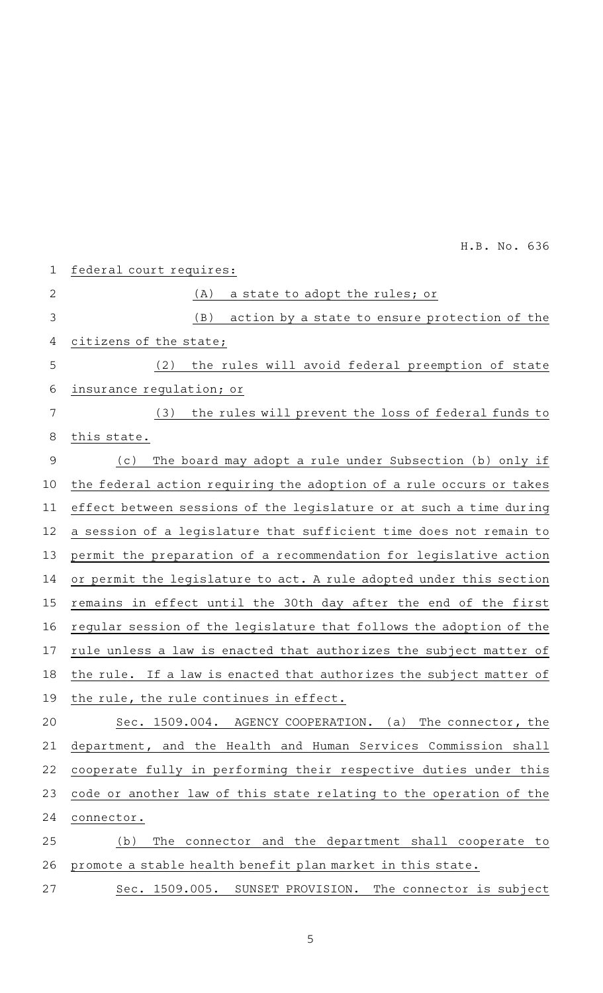| $\mathbf 1$ | federal court requires:                                             |
|-------------|---------------------------------------------------------------------|
| 2           | a state to adopt the rules; or<br>(A)                               |
| 3           | (B)<br>action by a state to ensure protection of the                |
| 4           | citizens of the state;                                              |
| 5           | the rules will avoid federal preemption of state<br>(2)             |
| 6           | insurance regulation; or                                            |
| 7           | the rules will prevent the loss of federal funds to<br>(3)          |
| 8           | this state.                                                         |
| 9           | The board may adopt a rule under Subsection (b) only if<br>(c)      |
| 10          | the federal action requiring the adoption of a rule occurs or takes |
| 11          | effect between sessions of the legislature or at such a time during |
| 12          | a session of a legislature that sufficient time does not remain to  |
| 13          | permit the preparation of a recommendation for legislative action   |
| 14          | or permit the legislature to act. A rule adopted under this section |
| 15          | remains in effect until the 30th day after the end of the first     |
| 16          | regular session of the legislature that follows the adoption of the |
| 17          | rule unless a law is enacted that authorizes the subject matter of  |
| 18          | the rule. If a law is enacted that authorizes the subject matter of |
| 19          | the rule, the rule continues in effect.                             |
| 20          | Sec. 1509.004. AGENCY COOPERATION. (a) The connector, the           |
| 21          | department, and the Health and Human Services Commission shall      |
| 22          | cooperate fully in performing their respective duties under this    |
| 23          | code or another law of this state relating to the operation of the  |
| 24          | connector.                                                          |
| 25          | The connector and the department shall cooperate to<br>(b)          |
| 26          | promote a stable health benefit plan market in this state.          |
| 27          | Sec. 1509.005. SUNSET PROVISION. The connector is subject           |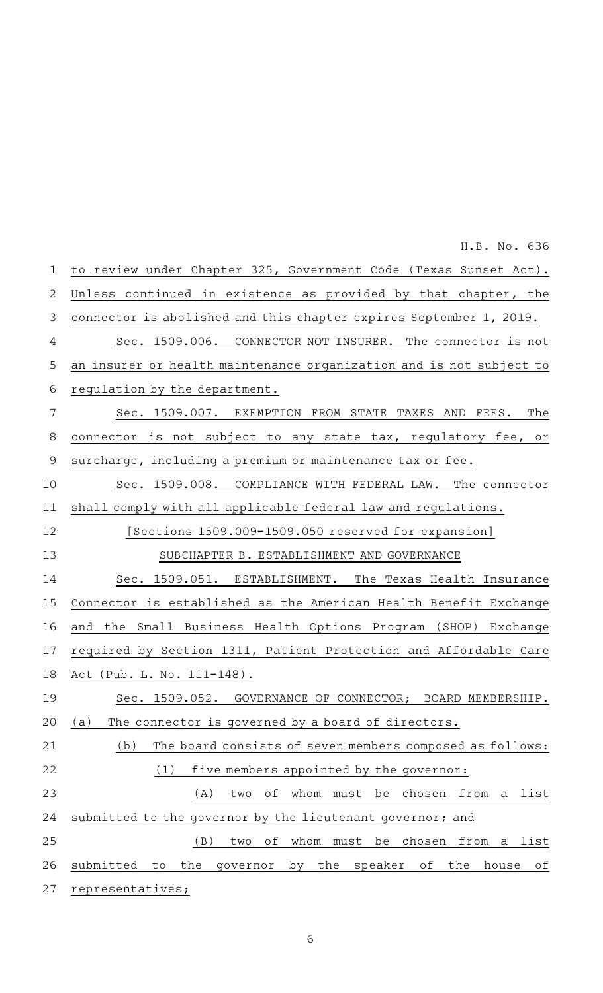to review under Chapter 325, Government Code (Texas Sunset Act). Unless continued in existence as provided by that chapter, the connector is abolished and this chapter expires September 1, 2019. Sec. 1509.006. CONNECTOR NOT INSURER. The connector is not an insurer or health maintenance organization and is not subject to regulation by the department. Sec. 1509.007. EXEMPTION FROM STATE TAXES AND FEES. The connector is not subject to any state tax, regulatory fee, or surcharge, including a premium or maintenance tax or fee. Sec. 1509.008. COMPLIANCE WITH FEDERAL LAW. The connector shall comply with all applicable federal law and regulations. [Sections 1509.009-1509.050 reserved for expansion] SUBCHAPTER B. ESTABLISHMENT AND GOVERNANCE Sec. 1509.051. ESTABLISHMENT. The Texas Health Insurance Connector is established as the American Health Benefit Exchange and the Small Business Health Options Program (SHOP) Exchange required by Section 1311, Patient Protection and Affordable Care Act (Pub. L. No. 111-148). Sec. 1509.052. GOVERNANCE OF CONNECTOR; BOARD MEMBERSHIP. (a) The connector is governed by a board of directors.  $(b)$  The board consists of seven members composed as follows:  $(1)$  five members appointed by the governor: (A) two of whom must be chosen from a list submitted to the governor by the lieutenant governor; and (B) two of whom must be chosen from a list submitted to the governor by the speaker of the house of representatives; 1 2 3 4 5 6 7 8 9 10 11 12 13 14 15 16 17 18 19 20 21 22 23 24 25 26 27

H.B. No. 636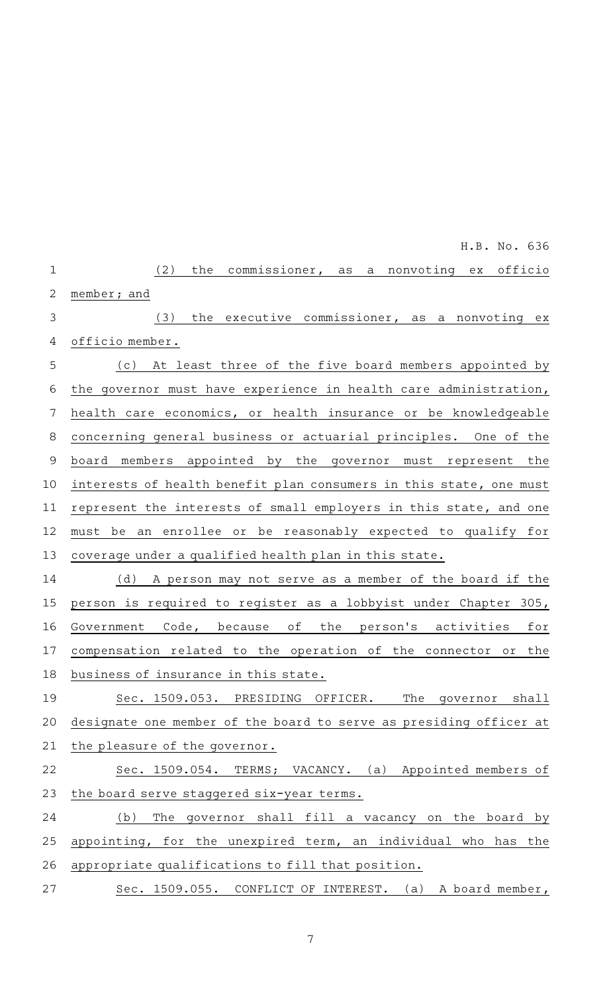|                | H.B. No. 636                                                       |
|----------------|--------------------------------------------------------------------|
| $\mathbf 1$    | commissioner, as a nonvoting ex<br>officio<br>(2)<br>the           |
| $\overline{2}$ | member; and                                                        |
| 3              | (3)<br>the executive commissioner, as a nonvoting ex               |
| 4              | officio member.                                                    |
| 5              | (c) At least three of the five board members appointed by          |
| 6              | the governor must have experience in health care administration,   |
| 7              | health care economics, or health insurance or be knowledgeable     |
| 8              | concerning general business or actuarial principles. One of the    |
| $\mathsf 9$    | board members appointed by the governor must represent the         |
| 10             | interests of health benefit plan consumers in this state, one must |
| 11             | represent the interests of small employers in this state, and one  |
| 12             | an enrollee or be reasonably expected to qualify for<br>must be    |
| 13             | coverage under a qualified health plan in this state.              |
| 14             | A person may not serve as a member of the board if the<br>(d)      |
| 15             | person is required to register as a lobbyist under Chapter 305,    |
| 16             | Government Code, because of the person's activities<br>for         |
| 17             | compensation related to the operation of the connector or the      |
| 18             | business of insurance in this state.                               |
| 19             | The governor<br>Sec. 1509.053. PRESIDING OFFICER.<br>shall         |
| 20             | designate one member of the board to serve as presiding officer at |
| 21             | the pleasure of the governor.                                      |
| 22             | Sec. 1509.054. TERMS; VACANCY. (a) Appointed members of            |
| 23             | the board serve staggered six-year terms.                          |
| 24             | The governor shall fill a vacancy on the board by<br>(b)           |
| 25             | appointing, for the unexpired term, an individual who has the      |
| 26             | appropriate qualifications to fill that position.                  |
| 27             | Sec. 1509.055. CONFLICT OF INTEREST. (a) A board member,           |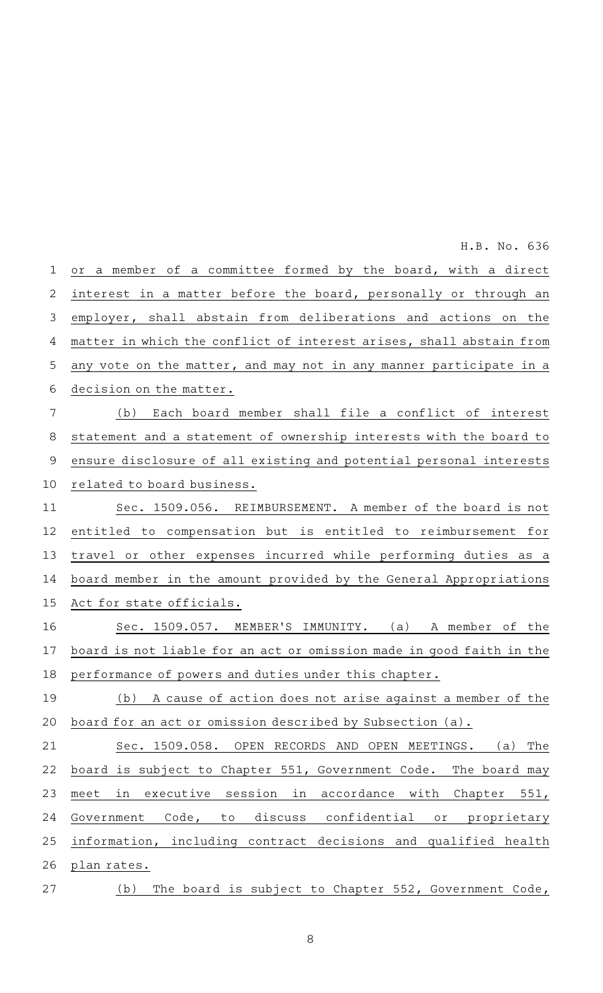or a member of a committee formed by the board, with a direct interest in a matter before the board, personally or through an employer, shall abstain from deliberations and actions on the matter in which the conflict of interest arises, shall abstain from any vote on the matter, and may not in any manner participate in a decision on the matter. (b) Each board member shall file a conflict of interest statement and a statement of ownership interests with the board to ensure disclosure of all existing and potential personal interests related to board business. Sec. 1509.056. REIMBURSEMENT. A member of the board is not entitled to compensation but is entitled to reimbursement for travel or other expenses incurred while performing duties as a board member in the amount provided by the General Appropriations Act for state officials. Sec. 1509.057. MEMBER'S IMMUNITY. (a) A member of the board is not liable for an act or omission made in good faith in the performance of powers and duties under this chapter. (b) A cause of action does not arise against a member of the board for an act or omission described by Subsection (a). Sec. 1509.058. OPEN RECORDS AND OPEN MEETINGS. (a) The board is subject to Chapter 551, Government Code. The board may meet in executive session in accordance with Chapter 551, Government Code, to discuss confidential or proprietary information, including contract decisions and qualified health plan rates. (b) The board is subject to Chapter  $552$ , Government Code, 1 2 3 4 5 6 7 8 9 10 11 12 13 14 15 16 17 18 19 20 21 22 23 24 25 26 27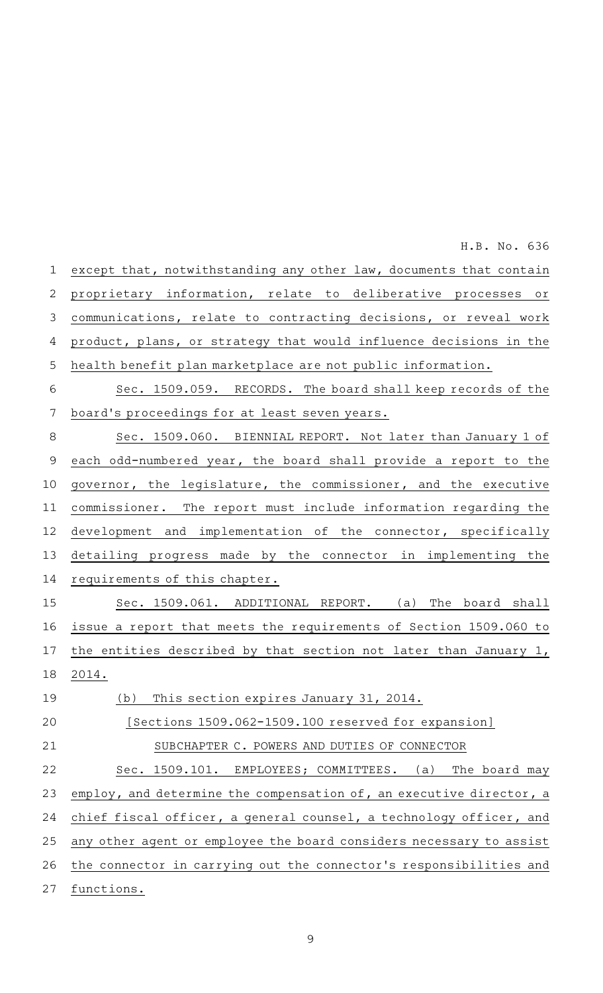proprietary information, relate to deliberative processes or communications, relate to contracting decisions, or reveal work product, plans, or strategy that would influence decisions in the health benefit plan marketplace are not public information. Sec. 1509.059. RECORDS. The board shall keep records of the board's proceedings for at least seven years. Sec. 1509.060. BIENNIAL REPORT. Not later than January 1 of each odd-numbered year, the board shall provide a report to the governor, the legislature, the commissioner, and the executive commissioner. The report must include information regarding the development and implementation of the connector, specifically detailing progress made by the connector in implementing the requirements of this chapter. Sec. 1509.061. ADDITIONAL REPORT. (a) The board shall issue a report that meets the requirements of Section 1509.060 to the entities described by that section not later than January 1, 2014. (b) This section expires January 31, 2014. [Sections 1509.062-1509.100 reserved for expansion] SUBCHAPTER C. POWERS AND DUTIES OF CONNECTOR Sec. 1509.101. EMPLOYEES; COMMITTEES. (a) The board may employ, and determine the compensation of, an executive director, a chief fiscal officer, a general counsel, a technology officer, and any other agent or employee the board considers necessary to assist the connector in carrying out the connector 's responsibilities and functions. 2 3 4 5 6 7 8 9 10 11 12 13 14 15 16 17 18 19 20 21 22 23 24 25 26 27

except that, notwithstanding any other law, documents that contain 1 H.B. No. 636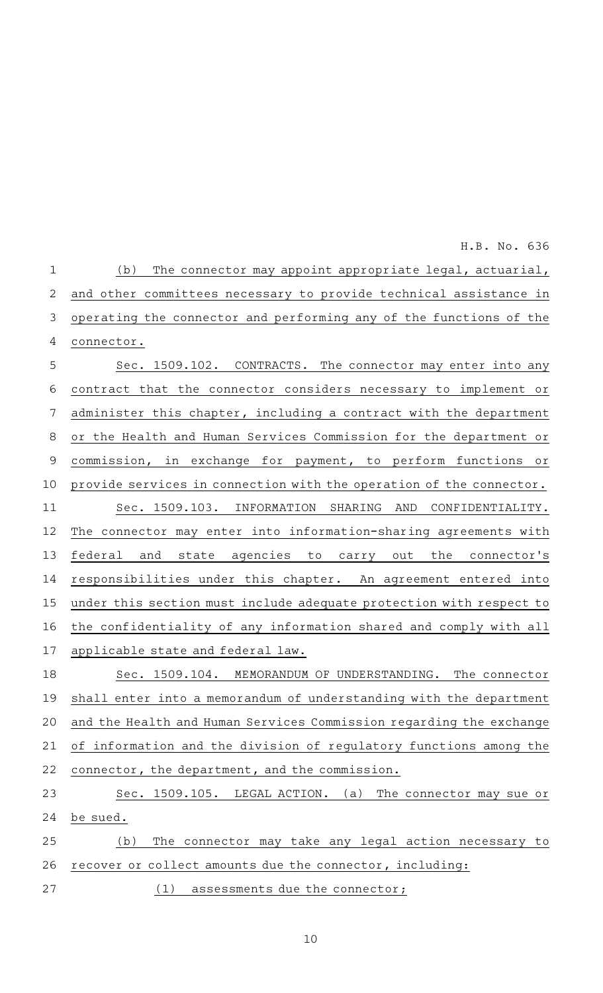$(b)$  The connector may appoint appropriate legal, actuarial, and other committees necessary to provide technical assistance in operating the connector and performing any of the functions of the connector. Sec. 1509.102. CONTRACTS. The connector may enter into any contract that the connector considers necessary to implement or administer this chapter, including a contract with the department or the Health and Human Services Commission for the department or commission, in exchange for payment, to perform functions or provide services in connection with the operation of the connector. Sec. 1509.103. INFORMATION SHARING AND CONFIDENTIALITY. The connector may enter into information-sharing agreements with federal and state agencies to carry out the connector 's responsibilities under this chapter. An agreement entered into under this section must include adequate protection with respect to the confidentiality of any information shared and comply with all applicable state and federal law. Sec. 1509.104. MEMORANDUM OF UNDERSTANDING. The connector 1 2 3 4 5 6 7 8 9 10 11 12 13 14 15 16 17 18

H.B. No. 636

shall enter into a memorandum of understanding with the department and the Health and Human Services Commission regarding the exchange of information and the division of regulatory functions among the connector, the department, and the commission. 19 20 21 22

Sec. 1509.105. LEGAL ACTION. (a) The connector may sue or be sued. (b) The connector may take any legal action necessary to 23 24 25

(1) assessments due the connector;

recover or collect amounts due the connector, including: 26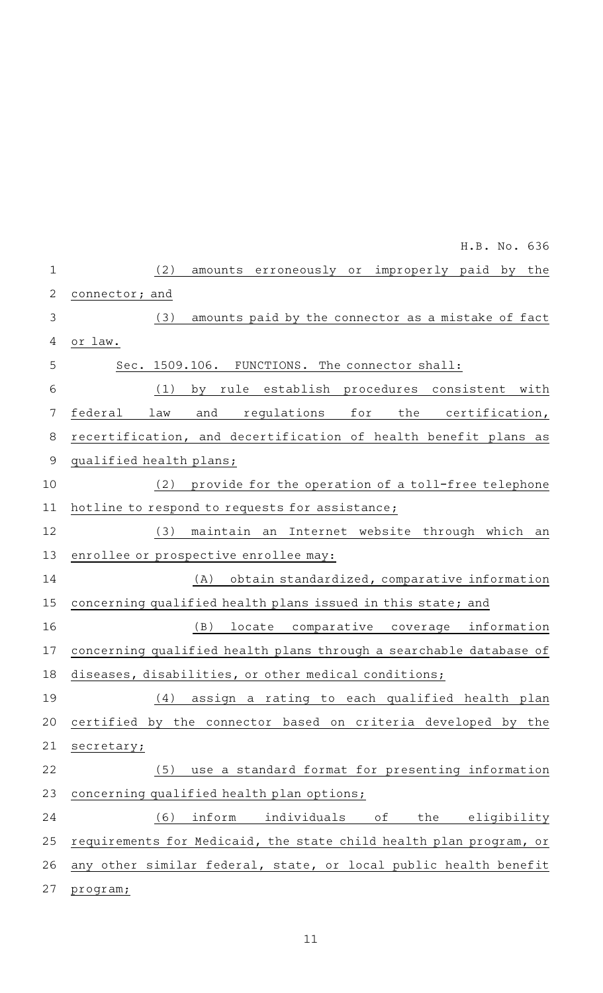|             | H.B. No. 636                                                       |
|-------------|--------------------------------------------------------------------|
| $\mathbf 1$ | amounts erroneously or improperly paid by the<br>(2)               |
| 2           | connector; and                                                     |
| 3           | amounts paid by the connector as a mistake of fact<br>(3)          |
| 4           | or law.                                                            |
| 5           | Sec. 1509.106. FUNCTIONS. The connector shall:                     |
| 6           | by rule establish procedures consistent with<br>(1)                |
| 7           | federal<br>regulations<br>the certification,<br>law<br>and<br>for  |
| 8           | recertification, and decertification of health benefit plans as    |
| $\mathsf 9$ | qualified health plans;                                            |
| 10          | provide for the operation of a toll-free telephone<br>(2)          |
| 11          | hotline to respond to requests for assistance;                     |
| 12          | maintain an Internet website through which an<br>(3)               |
| 13          | enrollee or prospective enrollee may:                              |
| 14          | obtain standardized, comparative information<br>(A)                |
| 15          | concerning qualified health plans issued in this state; and        |
| 16          | (B)<br>locate comparative coverage information                     |
| 17          | concerning qualified health plans through a searchable database of |
| 18          | diseases, disabilities, or other medical conditions;               |
| 19          | assign a rating to each qualified health plan<br>(4)               |
| 20          | certified by the connector based on criteria developed by the      |
| 21          | secretary;                                                         |
| 22          | (5) use a standard format for presenting information               |
| 23          | concerning qualified health plan options;                          |
| 24          | $(6)$ inform<br>individuals of the eligibility                     |
| 25          | requirements for Medicaid, the state child health plan program, or |
| 26          | any other similar federal, state, or local public health benefit   |
| 27          | program;                                                           |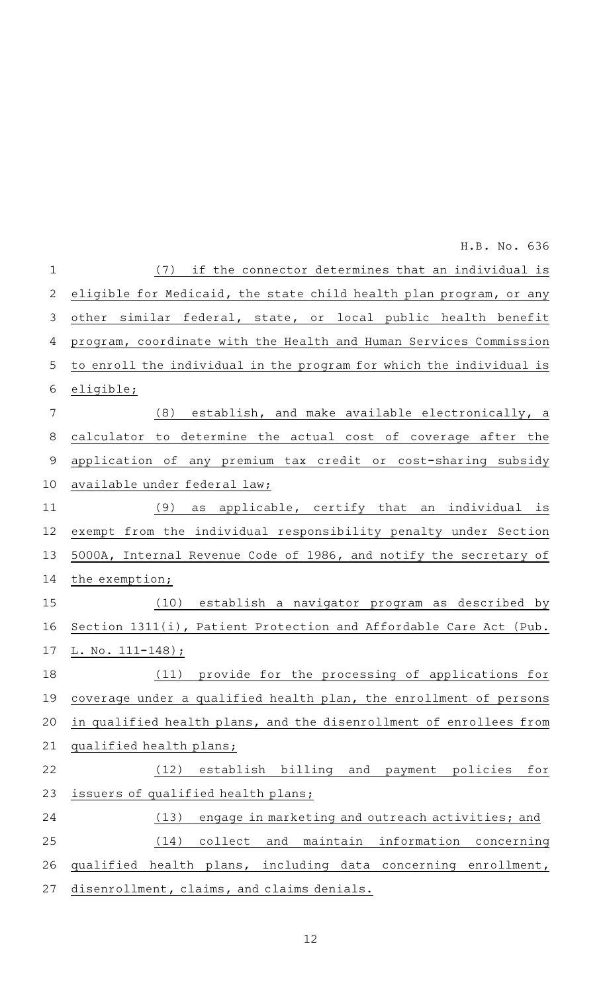$(7)$  if the connector determines that an individual is eligible for Medicaid, the state child health plan program, or any other similar federal, state, or local public health benefit program, coordinate with the Health and Human Services Commission to enroll the individual in the program for which the individual is eligible;  $(8)$  establish, and make available electronically, a calculator to determine the actual cost of coverage after the application of any premium tax credit or cost-sharing subsidy available under federal law;  $(9)$  as applicable, certify that an individual is exempt from the individual responsibility penalty under Section 5000A, Internal Revenue Code of 1986, and notify the secretary of the exemption; (10) establish a navigator program as described by Section 1311(i), Patient Protection and Affordable Care Act (Pub. L. No. 111-148); (11) provide for the processing of applications for coverage under a qualified health plan, the enrollment of persons in qualified health plans, and the disenrollment of enrollees from qualified health plans; (12) establish billing and payment policies for issuers of qualified health plans; (13) engage in marketing and outreach activities; and (14) collect and maintain information concerning qualified health plans, including data concerning enrollment, disenrollment, claims, and claims denials. 1 2 3 4 5 6 7 8 9 10 11 12 13 14 15 16 17 18 19 20 21 22 23 24 25 26 27 H.B. No. 636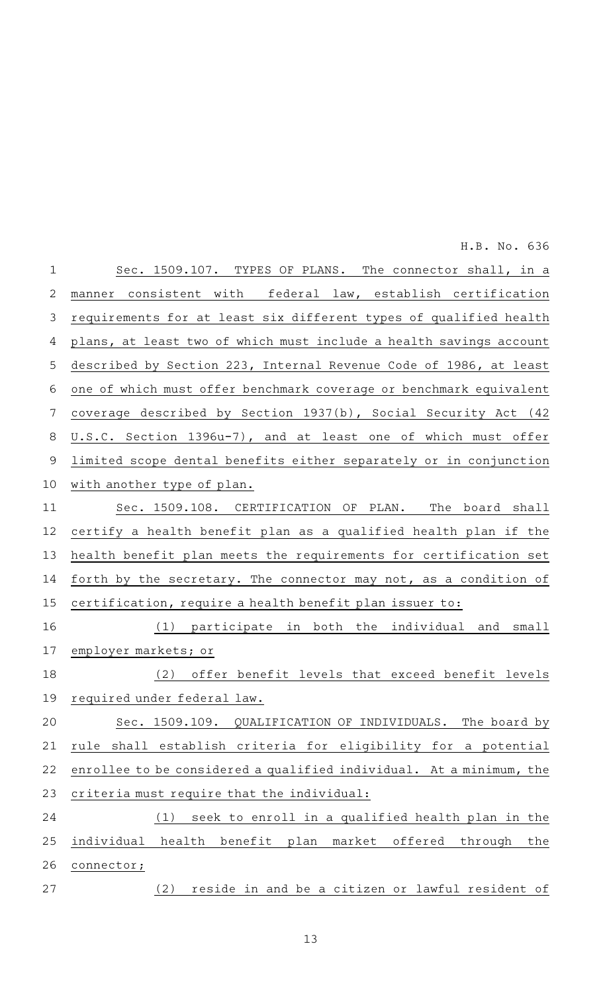Sec. 1509.107. TYPES OF PLANS. The connector shall, in a manner consistent with federal law, establish certification requirements for at least six different types of qualified health plans, at least two of which must include a health savings account described by Section 223, Internal Revenue Code of 1986, at least one of which must offer benchmark coverage or benchmark equivalent coverage described by Section 1937(b), Social Security Act (42 U.S.C. Section 1396u-7), and at least one of which must offer limited scope dental benefits either separately or in conjunction with another type of plan. Sec. 1509.108. CERTIFICATION OF PLAN. The board shall certify a health benefit plan as a qualified health plan if the health benefit plan meets the requirements for certification set forth by the secretary. The connector may not, as a condition of certification, require a health benefit plan issuer to: (1) participate in both the individual and small employer markets; or (2) offer benefit levels that exceed benefit levels required under federal law. Sec. 1509.109. QUALIFICATION OF INDIVIDUALS. The board by rule shall establish criteria for eligibility for a potential enrollee to be considered a qualified individual. At a minimum, the criteria must require that the individual:  $(1)$  seek to enroll in a qualified health plan in the individual health benefit plan market offered through the connector; (2) reside in and be a citizen or lawful resident of 1 2 3 4 5 6 7 8 9 10 11 12 13 14 15 16 17 18 19 20 21 22 23 24 25 26 27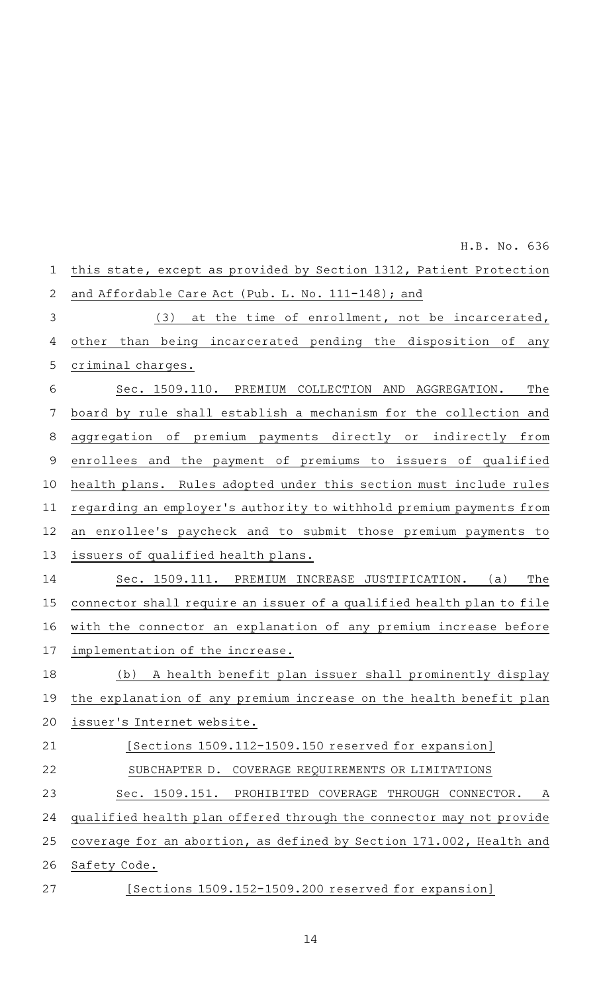this state, except as provided by Section 1312, Patient Protection and Affordable Care Act (Pub. L. No. 111-148); and (3) at the time of enrollment, not be incarcerated, other than being incarcerated pending the disposition of any criminal charges. Sec. 1509.110. PREMIUM COLLECTION AND AGGREGATION. The board by rule shall establish a mechanism for the collection and aggregation of premium payments directly or indirectly from enrollees and the payment of premiums to issuers of qualified health plans. Rules adopted under this section must include rules regarding an employer 's authority to withhold premium payments from an enrollee's paycheck and to submit those premium payments to issuers of qualified health plans. Sec. 1509.111. PREMIUM INCREASE JUSTIFICATION. (a) The connector shall require an issuer of a qualified health plan to file with the connector an explanation of any premium increase before implementation of the increase. (b) A health benefit plan issuer shall prominently display the explanation of any premium increase on the health benefit plan issuer 's Internet website. [Sections 1509.112-1509.150 reserved for expansion] SUBCHAPTER D. COVERAGE REQUIREMENTS OR LIMITATIONS Sec. 1509.151. PROHIBITED COVERAGE THROUGH CONNECTOR. A qualified health plan offered through the connector may not provide coverage for an abortion, as defined by Section 171.002, Health and Safety Code. [Sections 1509.152-1509.200 reserved for expansion] 1 2 3 4 5 6 7 8 9 10 11 12 13 14 15 16 17 18 19 20 21 22 23 24 25 26 27

H.B. No. 636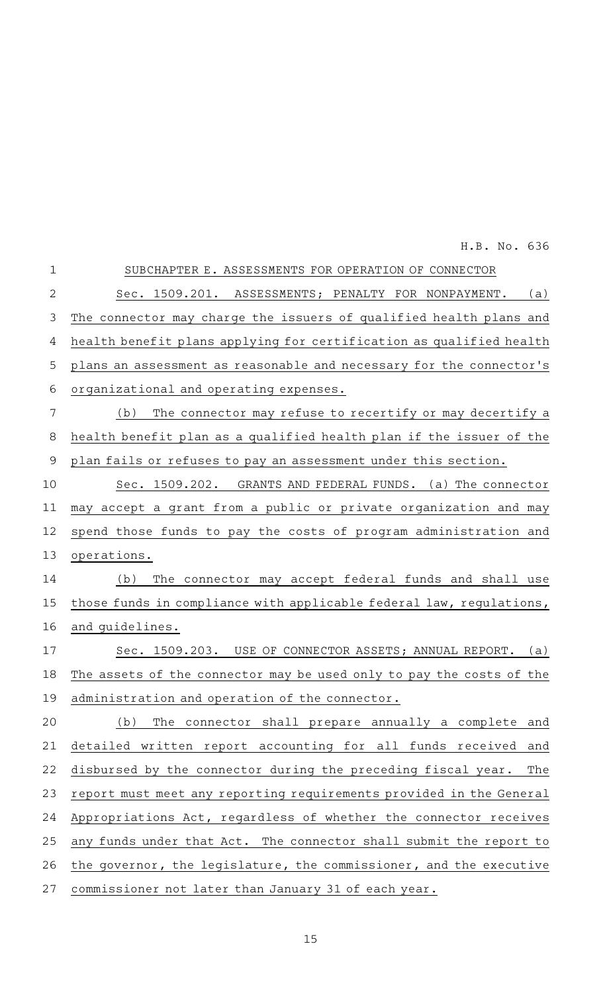| $\mathbf 1$    | SUBCHAPTER E. ASSESSMENTS FOR OPERATION OF CONNECTOR                 |
|----------------|----------------------------------------------------------------------|
| $\overline{2}$ | Sec. 1509.201. ASSESSMENTS; PENALTY FOR NONPAYMENT.<br>(a)           |
| 3              | The connector may charge the issuers of qualified health plans and   |
| 4              | health benefit plans applying for certification as qualified health  |
| 5              | plans an assessment as reasonable and necessary for the connector's  |
| 6              | organizational and operating expenses.                               |
| 7              | (b)<br>The connector may refuse to recertify or may decertify a      |
| 8              | health benefit plan as a qualified health plan if the issuer of the  |
| 9              | plan fails or refuses to pay an assessment under this section.       |
| 10             | Sec. 1509.202. GRANTS AND FEDERAL FUNDS. (a) The connector           |
| 11             | may accept a grant from a public or private organization and may     |
| 12             | spend those funds to pay the costs of program administration and     |
| 13             | operations.                                                          |
| 14             | The connector may accept federal funds and shall use<br>(b)          |
| 15             | those funds in compliance with applicable federal law, regulations,  |
| 16             | and quidelines.                                                      |
| 17             | Sec. 1509.203. USE OF CONNECTOR ASSETS; ANNUAL REPORT.<br>(a)        |
| 18             | The assets of the connector may be used only to pay the costs of the |
| 19             | administration and operation of the connector.                       |
| 20             | The connector shall prepare annually a complete and<br>(b)           |
| 21             | detailed written report accounting for all funds received and        |
| 22             | disbursed by the connector during the preceding fiscal year.<br>The  |
| 23             | report must meet any reporting requirements provided in the General  |
| 24             | Appropriations Act, regardless of whether the connector receives     |
| 25             | any funds under that Act. The connector shall submit the report to   |
| 26             | the governor, the legislature, the commissioner, and the executive   |
| 27             | commissioner not later than January 31 of each year.                 |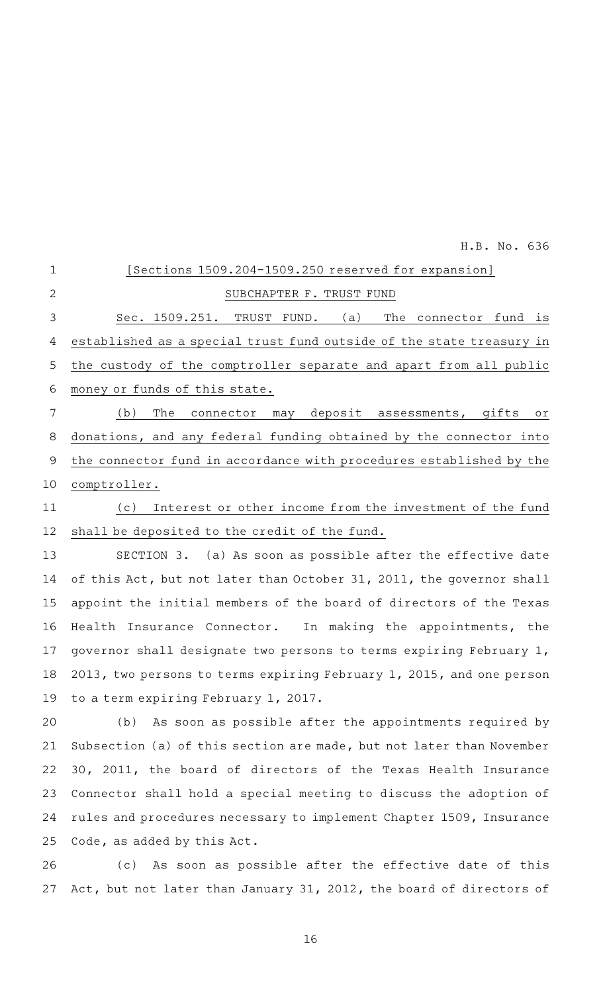| $\mathbf 1$ | [Sections 1509.204-1509.250 reserved for expansion]                  |
|-------------|----------------------------------------------------------------------|
| 2           | SUBCHAPTER F. TRUST FUND                                             |
| 3           | Sec. 1509.251. TRUST FUND. (a)<br>The connector fund is              |
| 4           | established as a special trust fund outside of the state treasury in |
| 5           | the custody of the comptroller separate and apart from all public    |
| 6           | money or funds of this state.                                        |
| 7           | The connector may deposit assessments, gifts or<br>(b)               |
| 8           | donations, and any federal funding obtained by the connector into    |
| 9           | the connector fund in accordance with procedures established by the  |
| 10          | comptroller.                                                         |
| 11          | Interest or other income from the investment of the fund<br>(c)      |
| 12          | shall be deposited to the credit of the fund.                        |
| 13          | SECTION 3. (a) As soon as possible after the effective date          |
| 14          | of this Act, but not later than October 31, 2011, the governor shall |
| 15          | appoint the initial members of the board of directors of the Texas   |
| 16          | Insurance Connector. In making the appointments, the<br>Health       |
| 17          | governor shall designate two persons to terms expiring February 1,   |
| 18          | 2013, two persons to terms expiring February 1, 2015, and one person |
|             | 19 to a term expiring February 1, 2017.                              |
| 20          | As soon as possible after the appointments required by<br>(b)        |
| 21          | Subsection (a) of this section are made, but not later than November |
| 22          | 30, 2011, the board of directors of the Texas Health Insurance       |
| 23          | Connector shall hold a special meeting to discuss the adoption of    |
| 24          | rules and procedures necessary to implement Chapter 1509, Insurance  |
| 25          | Code, as added by this Act.                                          |
| 26          | (c) As soon as possible after the effective date of this             |

16

27 Act, but not later than January 31, 2012, the board of directors of